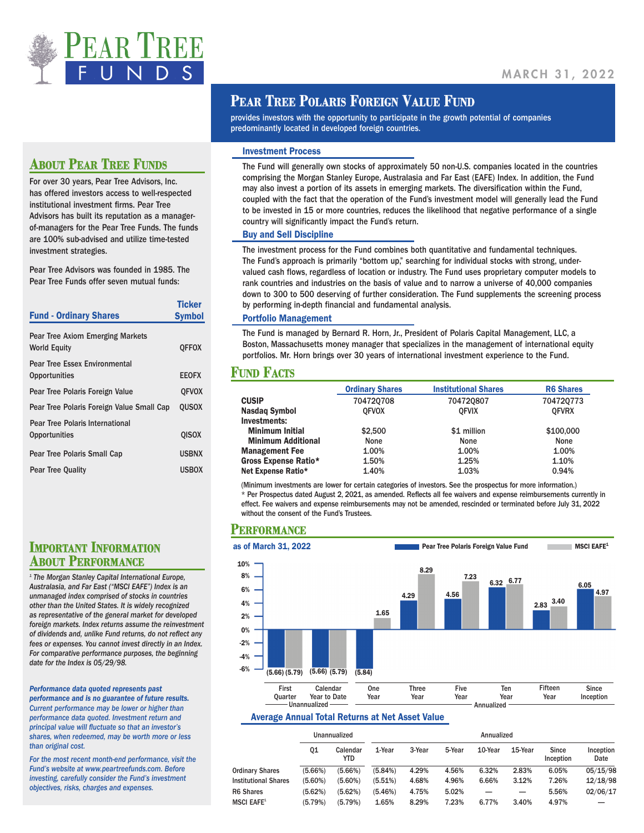

## **ABOUT PEAR TREE FINDS**

For over 30 years, Pear Tree Advisors, Inc. has offered investors access to well-respected institutional investment firms. Pear Tree Advisors has built its reputation as a managerof-managers for the Pear Tree Funds. The funds are 100% sub-advised and utilize time-tested investment strategies.

Pear Tree Advisors was founded in 1985. The Pear Tree Funds offer seven mutual funds:

| <b>Fund - Ordinary Shares</b>                           | <b>Ticker</b><br><b>Symbol</b> |
|---------------------------------------------------------|--------------------------------|
| Pear Tree Axiom Emerging Markets<br><b>World Equity</b> | <b>QFFOX</b>                   |
| <b>Pear Tree Essex Environmental</b><br>Opportunities   | <b>EEOFX</b>                   |
| Pear Tree Polaris Foreign Value                         | <b>OFVOX</b>                   |
| Pear Tree Polaris Foreign Value Small Cap               | <b>OUSOX</b>                   |
| Pear Tree Polaris International<br><b>Opportunities</b> | <b>QISOX</b>                   |
| Pear Tree Polaris Small Cap                             | <b>USBNX</b>                   |
| <b>Pear Tree Quality</b>                                | <b>USBOX</b>                   |

# **IMPORTANT INFORMATION<br>ABOUT PERFORMANCE**

*1 The Morgan Stanley Capital International Europe, Australasia, and Far East ("MSCI EAFE") Index is an unmanaged index comprised of stocks in countries other than the United States. It is widely recognized as representative of the general market for developed foreign markets. Index returns assume the reinvestment of dividends and, unlike Fund returns, do not reflect any fees or expenses. You cannot invest directly in an Index. For comparative performance purposes, the beginning date for the Index is 05/29/98.*

#### *Performance data quoted represents past*

*performance and is no guarantee of future results. Current performance may be lower or higher than performance data quoted. Investment return and principal value will fluctuate so that an investor's shares, when redeemed, may be worth more or less than original cost.* 

*For the most recent month-end performance, visit the Fund's website at www.peartreefunds.com. Before investing, carefully consider the Fund's investment objectives, risks, charges and expenses.* 

### **PEAR TREE POLARIS FOREIGN VALUE FUND**

provides investors with the opportunity to participate in the growth potential of companies predominantly located in developed foreign countries.

#### Investment Process

The Fund will generally own stocks of approximately 50 non-U.S. companies located in the countries comprising the Morgan Stanley Europe, Australasia and Far East (EAFE) Index. In addition, the Fund may also invest a portion of its assets in emerging markets. The diversification within the Fund, coupled with the fact that the operation of the Fund's investment model will generally lead the Fund to be invested in 15 or more countries, reduces the likelihood that negative performance of a single country will significantly impact the Fund's return.

#### Buy and Sell Discipline

The investment process for the Fund combines both quantitative and fundamental techniques. The Fund's approach is primarily "bottom up," searching for individual stocks with strong, undervalued cash flows, regardless of location or industry. The Fund uses proprietary computer models to rank countries and industries on the basis of value and to narrow a universe of 40,000 companies down to 300 to 500 deserving of further consideration. The Fund supplements the screening process by performing in-depth financial and fundamental analysis.

#### Portfolio Management

The Fund is managed by Bernard R. Horn, Jr., President of Polaris Capital Management, LLC, a Boston, Massachusetts money manager that specializes in the management of international equity portfolios. Mr. Horn brings over 30 years of international investment experience to the Fund.

#### **Fund Facts**

| <b>Ordinary Shares</b>      |              | <b>Institutional Shares</b> | <b>R6 Shares</b> |  |
|-----------------------------|--------------|-----------------------------|------------------|--|
| <b>CUSIP</b>                | 704720708    | 704720807                   | 704720773        |  |
| <b>Nasdag Symbol</b>        | <b>OFVOX</b> | <b>OFVIX</b>                | <b>OFVRX</b>     |  |
| Investments:                |              |                             |                  |  |
| <b>Minimum Initial</b>      | \$2,500      | \$1 million                 | \$100,000        |  |
| <b>Minimum Additional</b>   | None         | None                        | None             |  |
| <b>Management Fee</b>       | 1.00%        | 1.00%                       | 1.00%            |  |
| <b>Gross Expense Ratio*</b> | 1.50%        | 1.25%                       | 1.10%            |  |
| Net Expense Ratio*          | 1.40%        | 1.03%                       | 0.94%            |  |

(Minimum investments are lower for certain categories of investors. See the prospectus for more information.) \* Per Prospectus dated August 2, 2021, as amended. Reflects all fee waivers and expense reimbursements currently in effect. Fee waivers and expense reimbursements may not be amended, rescinded or terminated before July 31, 2022 without the consent of the Fund's Trustees.

#### **Performance**



#### Average Annual Total Returns at Net Asset Value

|                                |                    | Unannualized       |                  |                |                | Annualized |            |                    |                   |
|--------------------------------|--------------------|--------------------|------------------|----------------|----------------|------------|------------|--------------------|-------------------|
|                                | 01                 | Calendar<br>YTD    | 1-Year           | 3-Year         | 5-Year         | 10-Year    | 15-Year    | Since<br>Inception | Inception<br>Date |
| <b>Ordinary Shares</b>         | (5.66%)            | (5.66%)            | (5.84%)          | 4.29%          | 4.56%          | 6.32%      | 2.83%      | 6.05%              | 05/15/98          |
| <b>Institutional Shares</b>    | $(5.60\%)$         | $(5.60\%)$         | (5.51%)          | 4.68%          | 4.96%          | 6.66%      | 3.12%      | 7.26%              | 12/18/98          |
| R6 Shares<br><b>MSCI EAFE1</b> | (5.62%)<br>(5.79%) | (5.62%)<br>(5.79%) | (5.46%)<br>1.65% | 4.75%<br>8.29% | 5.02%<br>7.23% | 6.77%      | —<br>3.40% | 5.56%<br>4.97%     | 02/06/17          |